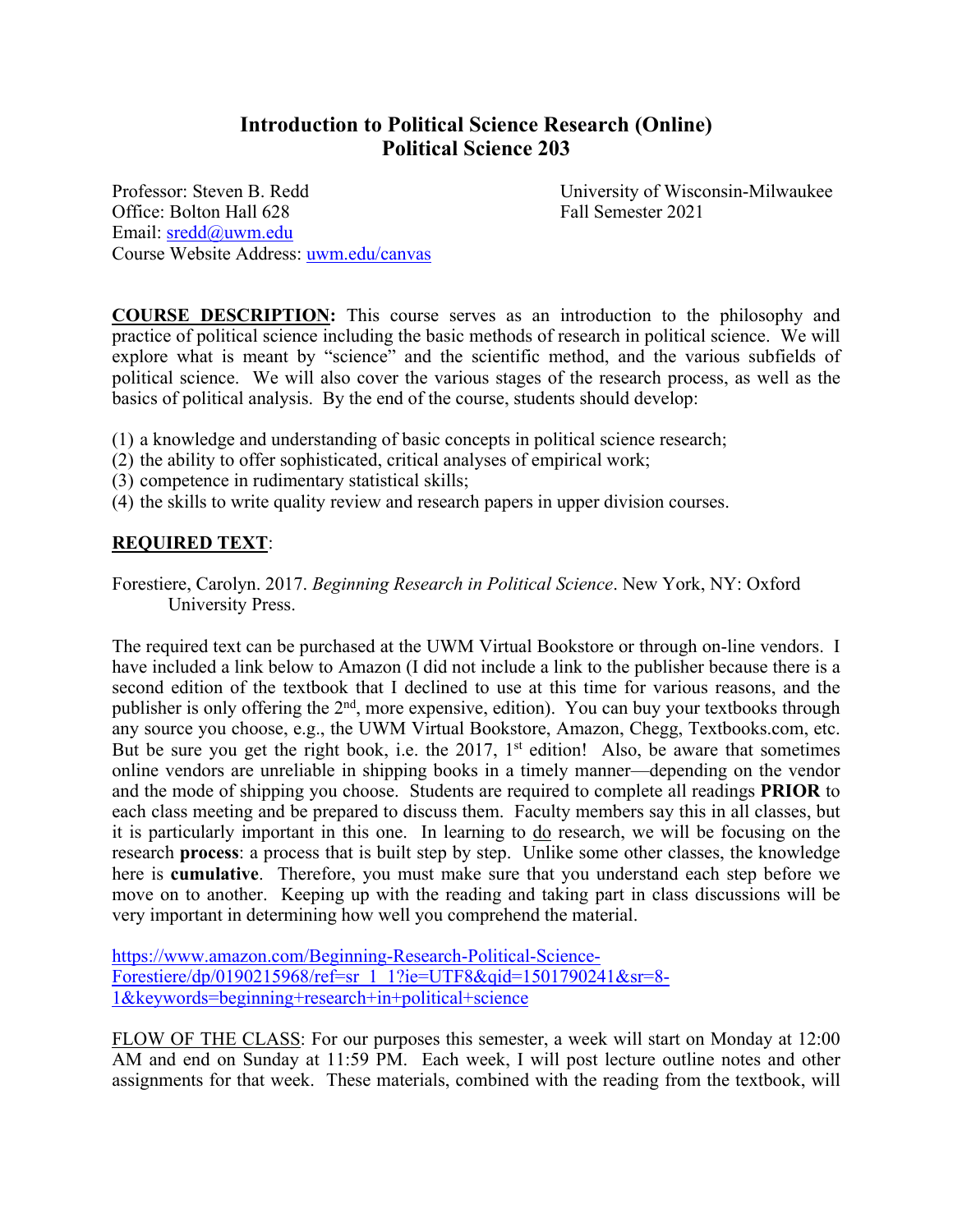# **Introduction to Political Science Research (Online) Political Science 203**

Professor: Steven B. Redd University of Wisconsin-Milwaukee Office: Bolton Hall 628 Fall Semester 2021 Email: sredd@uwm.edu Course Website Address: uwm.edu/canvas

**COURSE DESCRIPTION:** This course serves as an introduction to the philosophy and practice of political science including the basic methods of research in political science. We will explore what is meant by "science" and the scientific method, and the various subfields of political science. We will also cover the various stages of the research process, as well as the basics of political analysis. By the end of the course, students should develop:

- (1) a knowledge and understanding of basic concepts in political science research;
- (2) the ability to offer sophisticated, critical analyses of empirical work;
- (3) competence in rudimentary statistical skills;
- (4) the skills to write quality review and research papers in upper division courses.

# **REQUIRED TEXT**:

Forestiere, Carolyn. 2017. *Beginning Research in Political Science*. New York, NY: Oxford University Press.

The required text can be purchased at the UWM Virtual Bookstore or through on-line vendors. I have included a link below to Amazon (I did not include a link to the publisher because there is a second edition of the textbook that I declined to use at this time for various reasons, and the publisher is only offering the 2<sup>nd</sup>, more expensive, edition). You can buy your textbooks through any source you choose, e.g., the UWM Virtual Bookstore, Amazon, Chegg, Textbooks.com, etc. But be sure you get the right book, i.e. the 2017,  $1<sup>st</sup>$  edition! Also, be aware that sometimes online vendors are unreliable in shipping books in a timely manner—depending on the vendor and the mode of shipping you choose. Students are required to complete all readings **PRIOR** to each class meeting and be prepared to discuss them. Faculty members say this in all classes, but it is particularly important in this one. In learning to do research, we will be focusing on the research **process**: a process that is built step by step. Unlike some other classes, the knowledge here is **cumulative**. Therefore, you must make sure that you understand each step before we move on to another. Keeping up with the reading and taking part in class discussions will be very important in determining how well you comprehend the material.

https://www.amazon.com/Beginning-Research-Political-Science-Forestiere/dp/0190215968/ref=sr\_1\_1?ie=UTF8&qid=1501790241&sr=8- 1&keywords=beginning+research+in+political+science

FLOW OF THE CLASS: For our purposes this semester, a week will start on Monday at 12:00 AM and end on Sunday at 11:59 PM. Each week, I will post lecture outline notes and other assignments for that week. These materials, combined with the reading from the textbook, will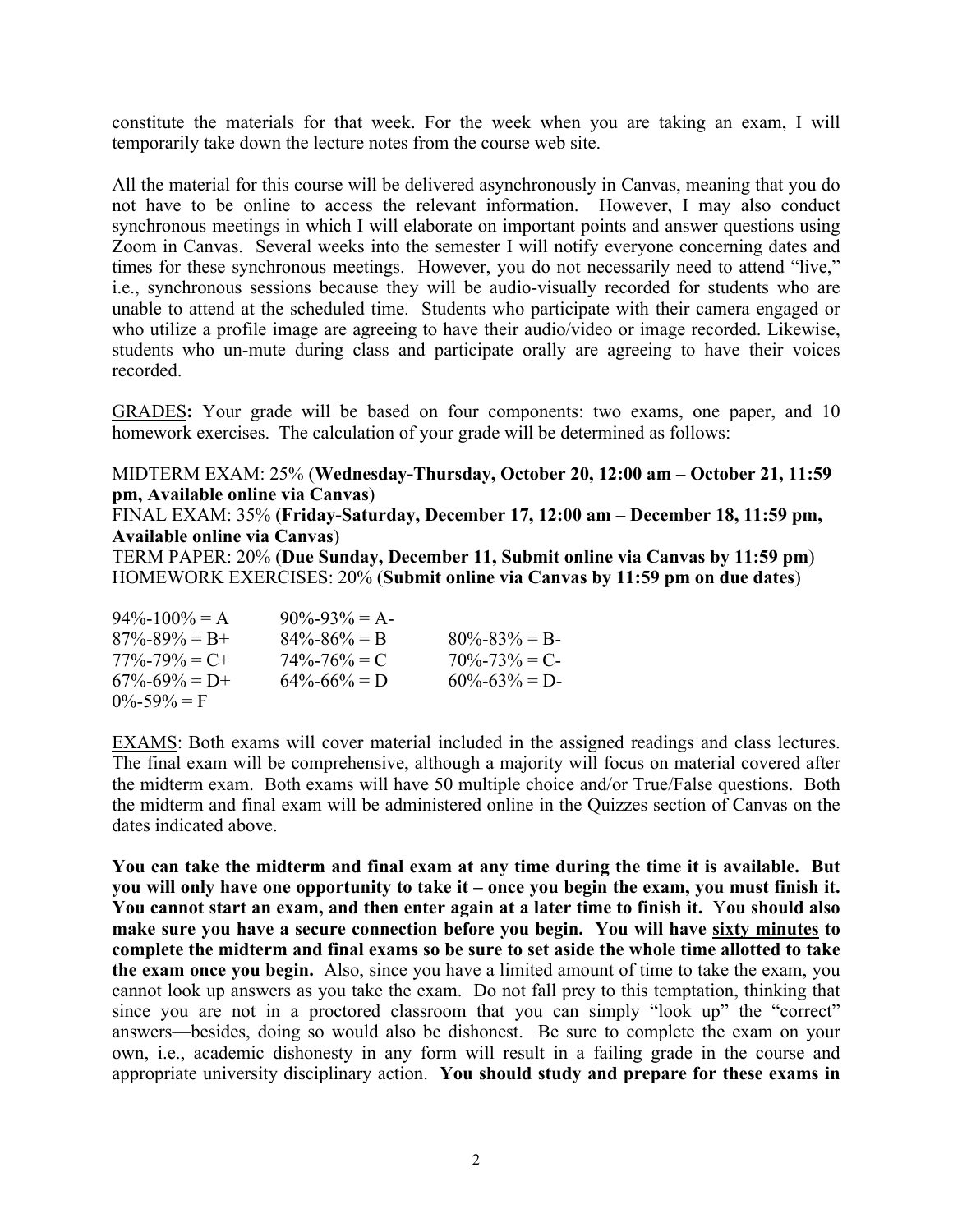constitute the materials for that week. For the week when you are taking an exam, I will temporarily take down the lecture notes from the course web site.

All the material for this course will be delivered asynchronously in Canvas, meaning that you do not have to be online to access the relevant information. However, I may also conduct synchronous meetings in which I will elaborate on important points and answer questions using Zoom in Canvas. Several weeks into the semester I will notify everyone concerning dates and times for these synchronous meetings. However, you do not necessarily need to attend "live," i.e., synchronous sessions because they will be audio-visually recorded for students who are unable to attend at the scheduled time. Students who participate with their camera engaged or who utilize a profile image are agreeing to have their audio/video or image recorded. Likewise, students who un-mute during class and participate orally are agreeing to have their voices recorded.

GRADES**:** Your grade will be based on four components: two exams, one paper, and 10 homework exercises. The calculation of your grade will be determined as follows:

#### MIDTERM EXAM: 25% (**Wednesday-Thursday, October 20, 12:00 am – October 21, 11:59 pm, Available online via Canvas**)

FINAL EXAM: 35% (**Friday-Saturday, December 17, 12:00 am – December 18, 11:59 pm, Available online via Canvas**)

TERM PAPER: 20% (**Due Sunday, December 11, Submit online via Canvas by 11:59 pm**) HOMEWORK EXERCISES: 20% (**Submit online via Canvas by 11:59 pm on due dates**)

| $94\% - 100\% = A$  | $90\% - 93\% = A$ |                   |
|---------------------|-------------------|-------------------|
| $87\% - 89\% = B +$ | $84\% - 86\% = B$ | $80\% - 83\% = B$ |
| $77\% - 79\% = C +$ | $74\% - 76\% = C$ | $70\% - 73\% = C$ |
| $67\% - 69\% = D +$ | $64\% - 66\% = D$ | $60\% - 63\% = D$ |
| $0\% - 59\% = F$    |                   |                   |

EXAMS: Both exams will cover material included in the assigned readings and class lectures. The final exam will be comprehensive, although a majority will focus on material covered after the midterm exam. Both exams will have 50 multiple choice and/or True/False questions. Both the midterm and final exam will be administered online in the Quizzes section of Canvas on the dates indicated above.

**You can take the midterm and final exam at any time during the time it is available. But you will only have one opportunity to take it – once you begin the exam, you must finish it. You cannot start an exam, and then enter again at a later time to finish it.** Y**ou should also make sure you have a secure connection before you begin. You will have sixty minutes to complete the midterm and final exams so be sure to set aside the whole time allotted to take the exam once you begin.** Also, since you have a limited amount of time to take the exam, you cannot look up answers as you take the exam. Do not fall prey to this temptation, thinking that since you are not in a proctored classroom that you can simply "look up" the "correct" answers—besides, doing so would also be dishonest. Be sure to complete the exam on your own, i.e., academic dishonesty in any form will result in a failing grade in the course and appropriate university disciplinary action. **You should study and prepare for these exams in**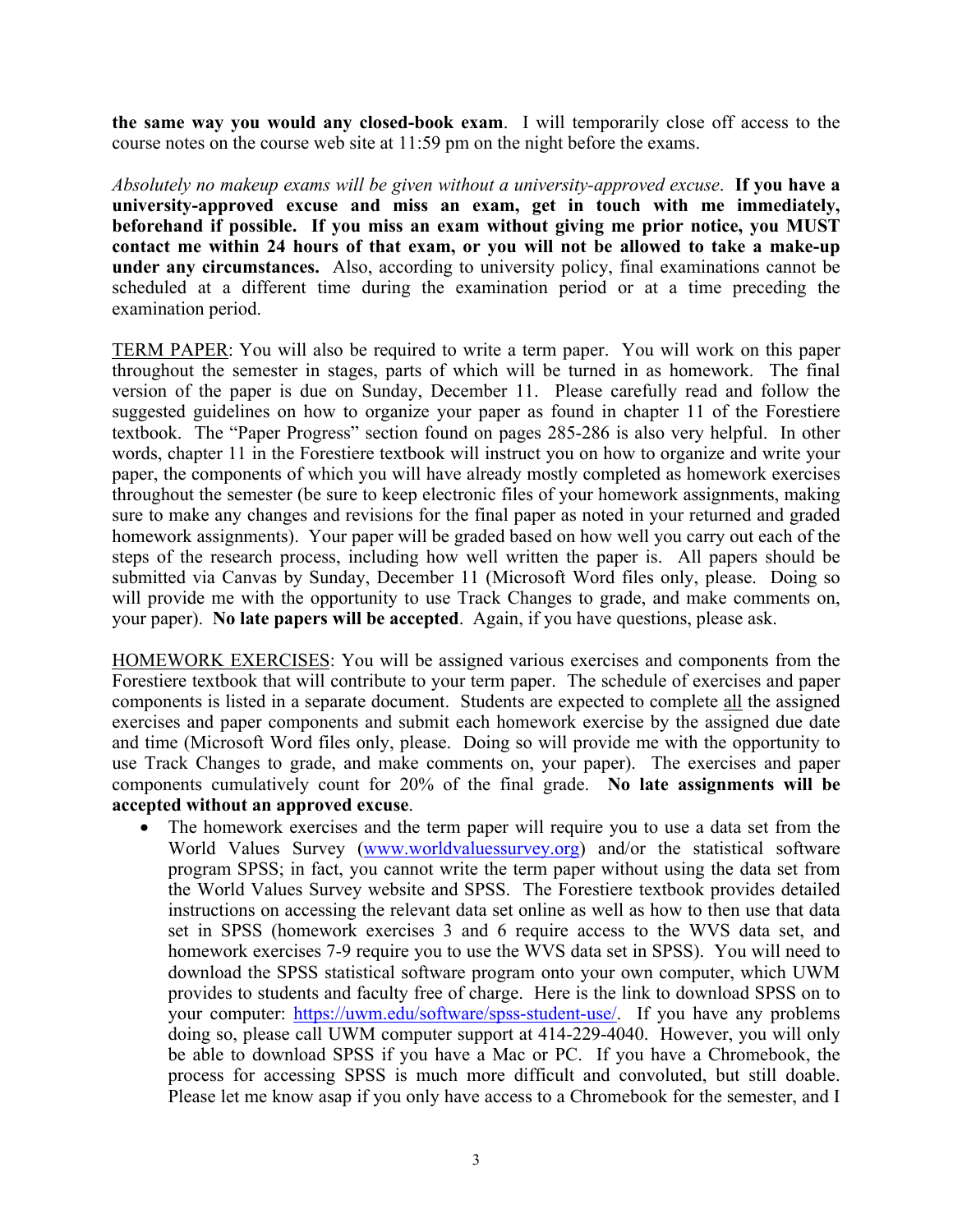**the same way you would any closed-book exam**. I will temporarily close off access to the course notes on the course web site at 11:59 pm on the night before the exams.

*Absolutely no makeup exams will be given without a university-approved excuse*. **If you have a university-approved excuse and miss an exam, get in touch with me immediately, beforehand if possible. If you miss an exam without giving me prior notice, you MUST contact me within 24 hours of that exam, or you will not be allowed to take a make-up under any circumstances.** Also, according to university policy, final examinations cannot be scheduled at a different time during the examination period or at a time preceding the examination period.

TERM PAPER: You will also be required to write a term paper. You will work on this paper throughout the semester in stages, parts of which will be turned in as homework. The final version of the paper is due on Sunday, December 11. Please carefully read and follow the suggested guidelines on how to organize your paper as found in chapter 11 of the Forestiere textbook. The "Paper Progress" section found on pages 285-286 is also very helpful. In other words, chapter 11 in the Forestiere textbook will instruct you on how to organize and write your paper, the components of which you will have already mostly completed as homework exercises throughout the semester (be sure to keep electronic files of your homework assignments, making sure to make any changes and revisions for the final paper as noted in your returned and graded homework assignments). Your paper will be graded based on how well you carry out each of the steps of the research process, including how well written the paper is. All papers should be submitted via Canvas by Sunday, December 11 (Microsoft Word files only, please. Doing so will provide me with the opportunity to use Track Changes to grade, and make comments on, your paper). **No late papers will be accepted**. Again, if you have questions, please ask.

HOMEWORK EXERCISES: You will be assigned various exercises and components from the Forestiere textbook that will contribute to your term paper. The schedule of exercises and paper components is listed in a separate document. Students are expected to complete all the assigned exercises and paper components and submit each homework exercise by the assigned due date and time (Microsoft Word files only, please. Doing so will provide me with the opportunity to use Track Changes to grade, and make comments on, your paper). The exercises and paper components cumulatively count for 20% of the final grade. **No late assignments will be accepted without an approved excuse**.

• The homework exercises and the term paper will require you to use a data set from the World Values Survey (www.worldvaluessurvey.org) and/or the statistical software program SPSS; in fact, you cannot write the term paper without using the data set from the World Values Survey website and SPSS. The Forestiere textbook provides detailed instructions on accessing the relevant data set online as well as how to then use that data set in SPSS (homework exercises 3 and 6 require access to the WVS data set, and homework exercises 7-9 require you to use the WVS data set in SPSS). You will need to download the SPSS statistical software program onto your own computer, which UWM provides to students and faculty free of charge. Here is the link to download SPSS on to your computer: https://uwm.edu/software/spss-student-use/. If you have any problems doing so, please call UWM computer support at 414-229-4040. However, you will only be able to download SPSS if you have a Mac or PC. If you have a Chromebook, the process for accessing SPSS is much more difficult and convoluted, but still doable. Please let me know asap if you only have access to a Chromebook for the semester, and I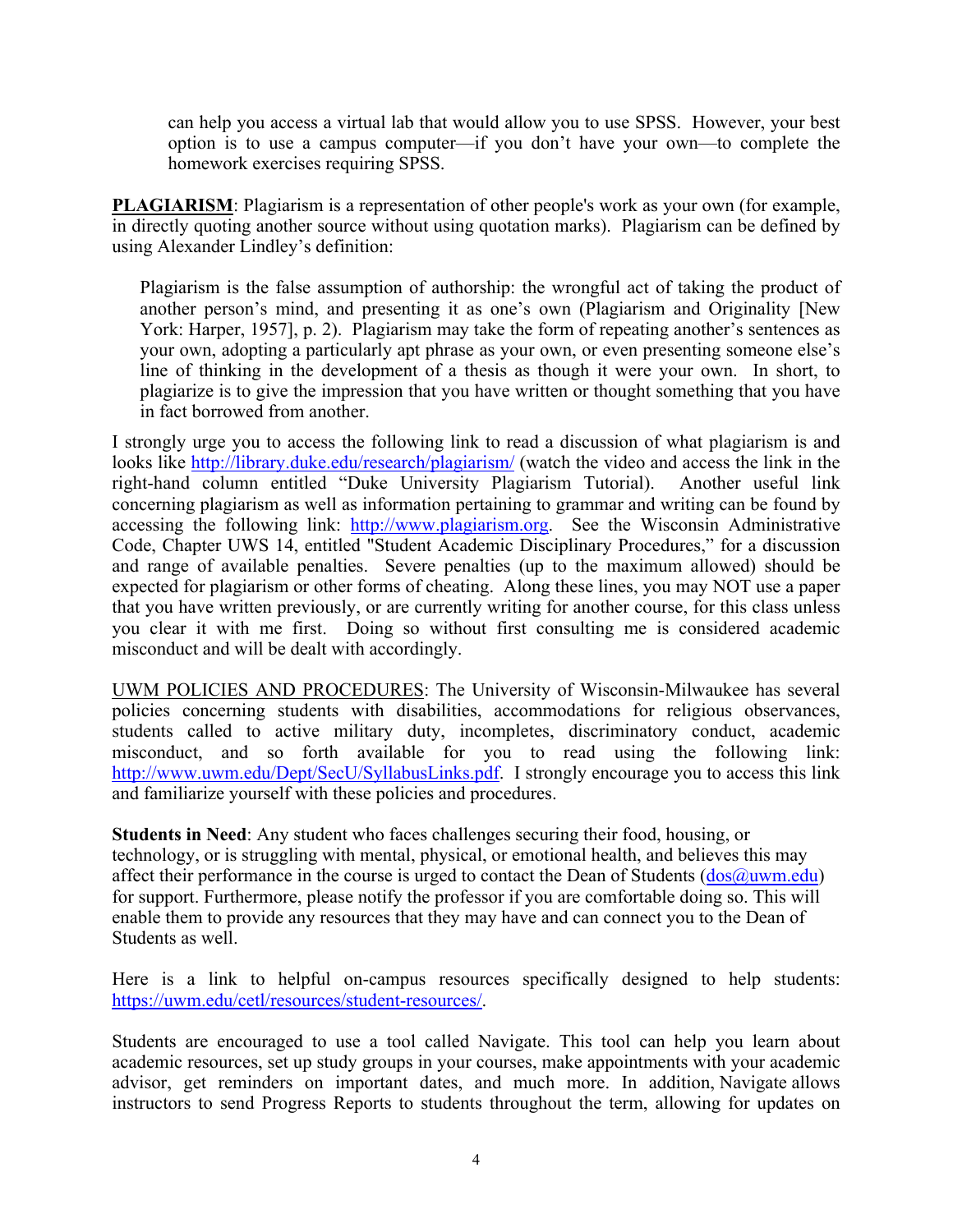can help you access a virtual lab that would allow you to use SPSS. However, your best option is to use a campus computer—if you don't have your own—to complete the homework exercises requiring SPSS.

**PLAGIARISM**: Plagiarism is a representation of other people's work as your own (for example, in directly quoting another source without using quotation marks). Plagiarism can be defined by using Alexander Lindley's definition:

Plagiarism is the false assumption of authorship: the wrongful act of taking the product of another person's mind, and presenting it as one's own (Plagiarism and Originality [New York: Harper, 1957], p. 2). Plagiarism may take the form of repeating another's sentences as your own, adopting a particularly apt phrase as your own, or even presenting someone else's line of thinking in the development of a thesis as though it were your own. In short, to plagiarize is to give the impression that you have written or thought something that you have in fact borrowed from another.

I strongly urge you to access the following link to read a discussion of what plagiarism is and looks like http://library.duke.edu/research/plagiarism/ (watch the video and access the link in the right-hand column entitled "Duke University Plagiarism Tutorial). Another useful link concerning plagiarism as well as information pertaining to grammar and writing can be found by accessing the following link: http://www.plagiarism.org. See the Wisconsin Administrative Code, Chapter UWS 14, entitled "Student Academic Disciplinary Procedures," for a discussion and range of available penalties. Severe penalties (up to the maximum allowed) should be expected for plagiarism or other forms of cheating. Along these lines, you may NOT use a paper that you have written previously, or are currently writing for another course, for this class unless you clear it with me first. Doing so without first consulting me is considered academic misconduct and will be dealt with accordingly.

UWM POLICIES AND PROCEDURES: The University of Wisconsin-Milwaukee has several policies concerning students with disabilities, accommodations for religious observances, students called to active military duty, incompletes, discriminatory conduct, academic misconduct, and so forth available for you to read using the following link: http://www.uwm.edu/Dept/SecU/SyllabusLinks.pdf. I strongly encourage you to access this link and familiarize yourself with these policies and procedures.

**Students in Need**: Any student who faces challenges securing their food, housing, or technology, or is struggling with mental, physical, or emotional health, and believes this may affect their performance in the course is urged to contact the Dean of Students  $(dos@uum.edu)$ for support. Furthermore, please notify the professor if you are comfortable doing so. This will enable them to provide any resources that they may have and can connect you to the Dean of Students as well.

Here is a link to helpful on-campus resources specifically designed to help students: https://uwm.edu/cetl/resources/student-resources/.

Students are encouraged to use a tool called Navigate. This tool can help you learn about academic resources, set up study groups in your courses, make appointments with your academic advisor, get reminders on important dates, and much more. In addition, Navigate allows instructors to send Progress Reports to students throughout the term, allowing for updates on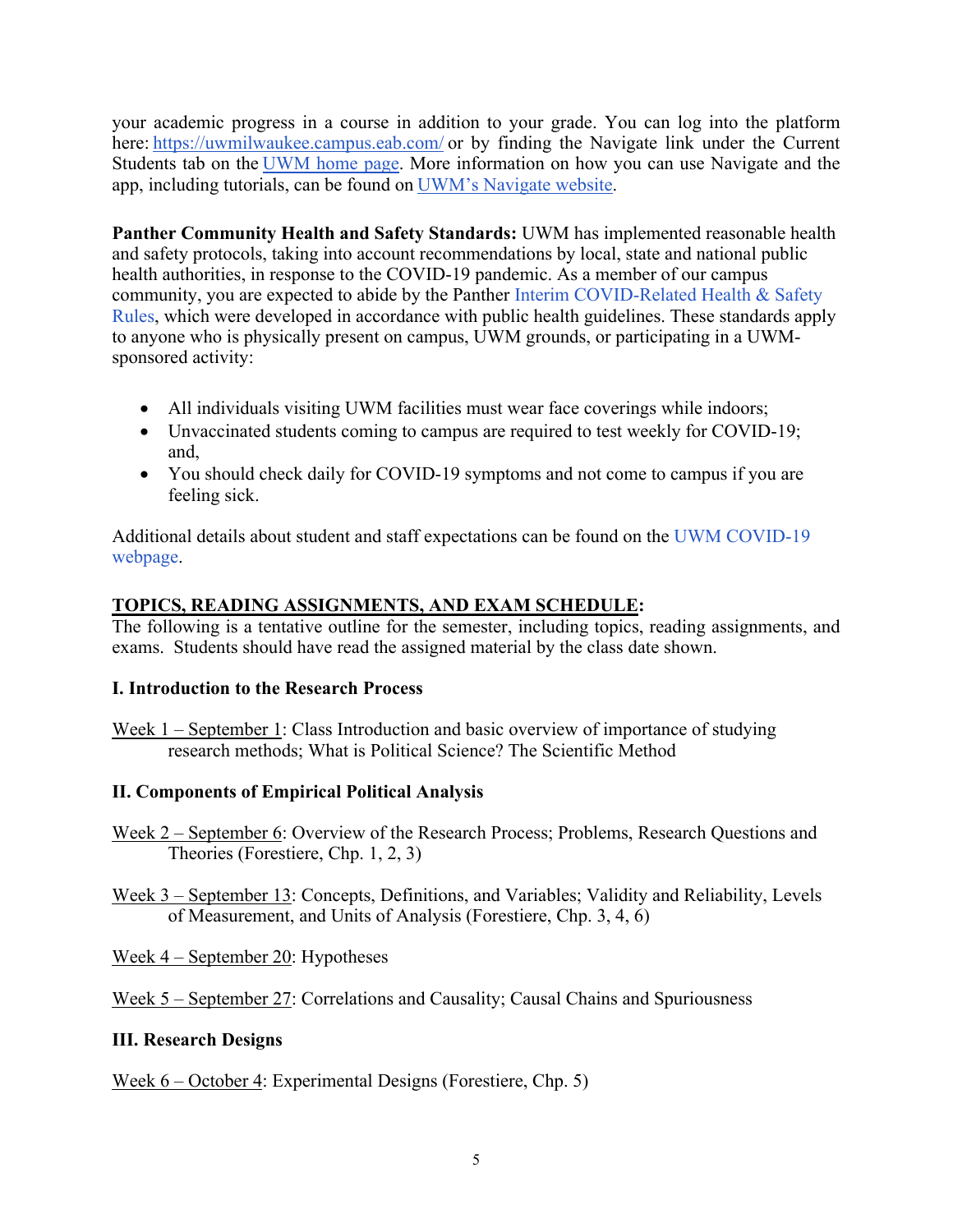your academic progress in a course in addition to your grade. You can log into the platform here: https://uwmilwaukee.campus.eab.com/ or by finding the Navigate link under the Current Students tab on the UWM home page. More information on how you can use Navigate and the app, including tutorials, can be found on UWM's Navigate website.

**Panther Community Health and Safety Standards:** UWM has implemented reasonable health and safety protocols, taking into account recommendations by local, state and national public health authorities, in response to the COVID-19 pandemic. As a member of our campus community, you are expected to abide by the Panther Interim COVID-Related Health & Safety Rules, which were developed in accordance with public health guidelines. These standards apply to anyone who is physically present on campus, UWM grounds, or participating in a UWMsponsored activity:

- All individuals visiting UWM facilities must wear face coverings while indoors;
- Unvaccinated students coming to campus are required to test weekly for COVID-19; and,
- You should check daily for COVID-19 symptoms and not come to campus if you are feeling sick.

Additional details about student and staff expectations can be found on the UWM COVID-19 webpage.

# **TOPICS, READING ASSIGNMENTS, AND EXAM SCHEDULE:**

The following is a tentative outline for the semester, including topics, reading assignments, and exams. Students should have read the assigned material by the class date shown.

# **I. Introduction to the Research Process**

Week 1 – September 1: Class Introduction and basic overview of importance of studying research methods; What is Political Science? The Scientific Method

# **II. Components of Empirical Political Analysis**

- Week 2 September 6: Overview of the Research Process; Problems, Research Questions and Theories (Forestiere, Chp. 1, 2, 3)
- Week 3 September 13: Concepts, Definitions, and Variables; Validity and Reliability, Levels of Measurement, and Units of Analysis (Forestiere, Chp. 3, 4, 6)
- Week 4 September 20: Hypotheses

Week 5 – September 27: Correlations and Causality; Causal Chains and Spuriousness

# **III. Research Designs**

Week 6 – October 4: Experimental Designs (Forestiere, Chp. 5)